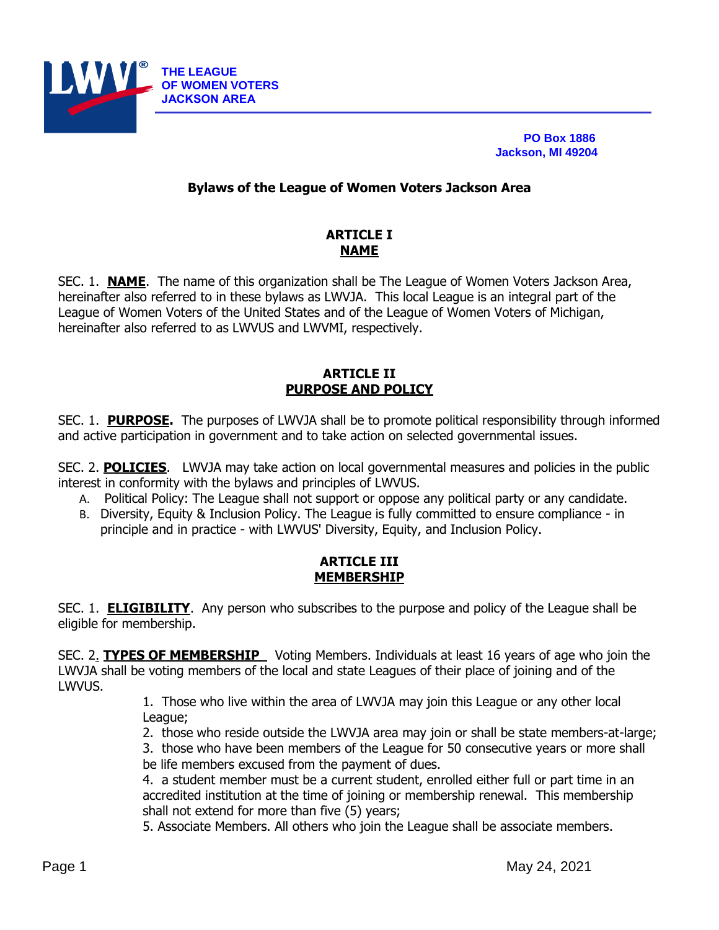

 **PO Box 1886 Jackson, MI 49204**

#### **Bylaws of the League of Women Voters Jackson Area**

# **ARTICLE I NAME**

SEC. 1. **NAME**. The name of this organization shall be The League of Women Voters Jackson Area, hereinafter also referred to in these bylaws as LWVJA. This local League is an integral part of the League of Women Voters of the United States and of the League of Women Voters of Michigan, hereinafter also referred to as LWVUS and LWVMI, respectively.

#### **ARTICLE II PURPOSE AND POLICY**

SEC. 1. **PURPOSE.** The purposes of LWVJA shall be to promote political responsibility through informed and active participation in government and to take action on selected governmental issues.

SEC. 2. **POLICIES**. LWVJA may take action on local governmental measures and policies in the public interest in conformity with the bylaws and principles of LWVUS.

- A. Political Policy: The League shall not support or oppose any political party or any candidate.
- B. Diversity, Equity & Inclusion Policy. The League is fully committed to ensure compliance in principle and in practice - with LWVUS' Diversity, Equity, and Inclusion Policy.

## **ARTICLE III MEMBERSHIP**

SEC. 1. **ELIGIBILITY**. Any person who subscribes to the purpose and policy of the League shall be eligible for membership.

SEC. 2. **TYPES OF MEMBERSHIP** Voting Members. Individuals at least 16 years of age who join the LWVJA shall be voting members of the local and state Leagues of their place of joining and of the LWVUS.

1. Those who live within the area of LWVJA may join this League or any other local League;

2. those who reside outside the LWVJA area may join or shall be state members-at-large;

3. those who have been members of the League for 50 consecutive years or more shall be life members excused from the payment of dues.

4. a student member must be a current student, enrolled either full or part time in an accredited institution at the time of joining or membership renewal. This membership shall not extend for more than five (5) years;

5. Associate Members. All others who join the League shall be associate members.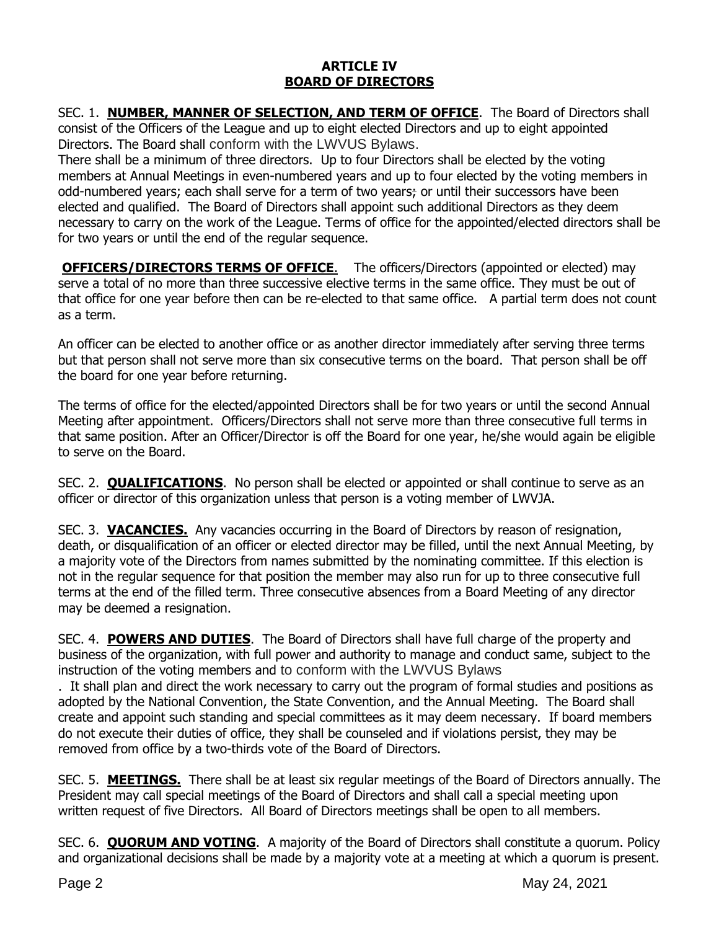## **ARTICLE IV BOARD OF DIRECTORS**

SEC. 1. **NUMBER, MANNER OF SELECTION, AND TERM OF OFFICE**. The Board of Directors shall consist of the Officers of the League and up to eight elected Directors and up to eight appointed Directors. The Board shall conform with the LWVUS Bylaws.

There shall be a minimum of three directors. Up to four Directors shall be elected by the voting members at Annual Meetings in even-numbered years and up to four elected by the voting members in odd-numbered years; each shall serve for a term of two years; or until their successors have been elected and qualified. The Board of Directors shall appoint such additional Directors as they deem necessary to carry on the work of the League. Terms of office for the appointed/elected directors shall be for two years or until the end of the regular sequence.

**OFFICERS/DIRECTORS TERMS OF OFFICE.** The officers/Directors (appointed or elected) may serve a total of no more than three successive elective terms in the same office. They must be out of that office for one year before then can be re-elected to that same office. A partial term does not count as a term.

An officer can be elected to another office or as another director immediately after serving three terms but that person shall not serve more than six consecutive terms on the board. That person shall be off the board for one year before returning.

The terms of office for the elected/appointed Directors shall be for two years or until the second Annual Meeting after appointment. Officers/Directors shall not serve more than three consecutive full terms in that same position. After an Officer/Director is off the Board for one year, he/she would again be eligible to serve on the Board.

SEC. 2. **QUALIFICATIONS**. No person shall be elected or appointed or shall continue to serve as an officer or director of this organization unless that person is a voting member of LWVJA.

SEC. 3. **VACANCIES.** Any vacancies occurring in the Board of Directors by reason of resignation, death, or disqualification of an officer or elected director may be filled, until the next Annual Meeting, by a majority vote of the Directors from names submitted by the nominating committee. If this election is not in the regular sequence for that position the member may also run for up to three consecutive full terms at the end of the filled term. Three consecutive absences from a Board Meeting of any director may be deemed a resignation.

SEC. 4. **POWERS AND DUTIES**. The Board of Directors shall have full charge of the property and business of the organization, with full power and authority to manage and conduct same, subject to the instruction of the voting members and to conform with the LWVUS Bylaws

. It shall plan and direct the work necessary to carry out the program of formal studies and positions as adopted by the National Convention, the State Convention, and the Annual Meeting. The Board shall create and appoint such standing and special committees as it may deem necessary. If board members do not execute their duties of office, they shall be counseled and if violations persist, they may be removed from office by a two-thirds vote of the Board of Directors.

SEC. 5. **MEETINGS.** There shall be at least six regular meetings of the Board of Directors annually. The President may call special meetings of the Board of Directors and shall call a special meeting upon written request of five Directors. All Board of Directors meetings shall be open to all members.

SEC. 6. **QUORUM AND VOTING**. A majority of the Board of Directors shall constitute a quorum. Policy and organizational decisions shall be made by a majority vote at a meeting at which a quorum is present.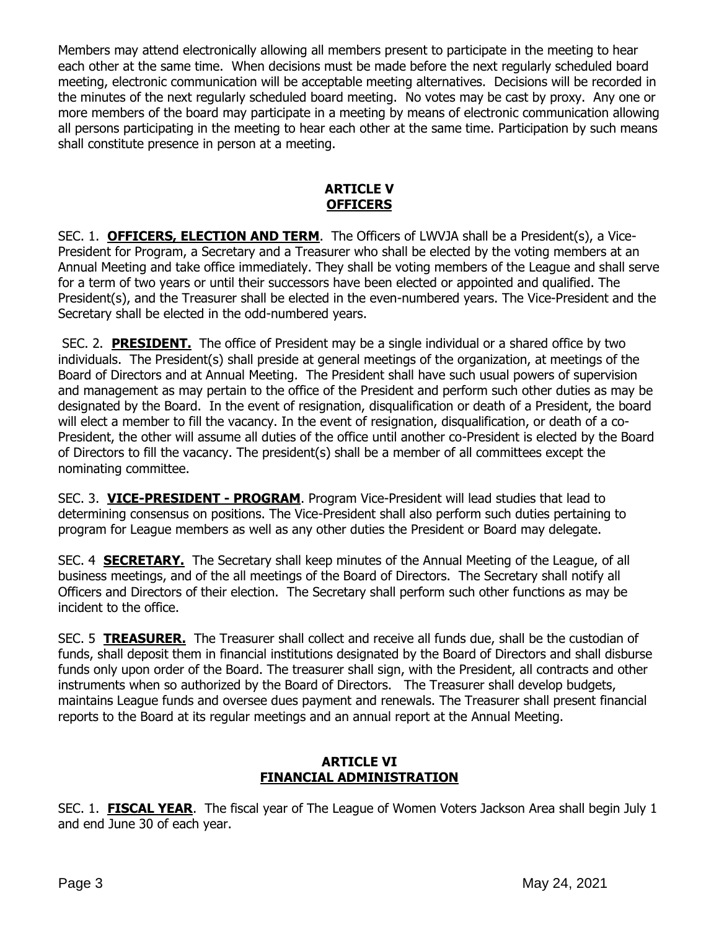Members may attend electronically allowing all members present to participate in the meeting to hear each other at the same time. When decisions must be made before the next regularly scheduled board meeting, electronic communication will be acceptable meeting alternatives. Decisions will be recorded in the minutes of the next regularly scheduled board meeting. No votes may be cast by proxy. Any one or more members of the board may participate in a meeting by means of electronic communication allowing all persons participating in the meeting to hear each other at the same time. Participation by such means shall constitute presence in person at a meeting.

## **ARTICLE V OFFICERS**

SEC. 1. **OFFICERS, ELECTION AND TERM**. The Officers of LWVJA shall be a President(s), a Vice-President for Program, a Secretary and a Treasurer who shall be elected by the voting members at an Annual Meeting and take office immediately. They shall be voting members of the League and shall serve for a term of two years or until their successors have been elected or appointed and qualified. The President(s), and the Treasurer shall be elected in the even-numbered years. The Vice-President and the Secretary shall be elected in the odd-numbered years.

SEC. 2. **PRESIDENT.** The office of President may be a single individual or a shared office by two individuals. The President(s) shall preside at general meetings of the organization, at meetings of the Board of Directors and at Annual Meeting. The President shall have such usual powers of supervision and management as may pertain to the office of the President and perform such other duties as may be designated by the Board. In the event of resignation, disqualification or death of a President, the board will elect a member to fill the vacancy. In the event of resignation, disqualification, or death of a co-President, the other will assume all duties of the office until another co-President is elected by the Board of Directors to fill the vacancy. The president(s) shall be a member of all committees except the nominating committee.

SEC. 3. **VICE-PRESIDENT - PROGRAM**. Program Vice-President will lead studies that lead to determining consensus on positions. The Vice-President shall also perform such duties pertaining to program for League members as well as any other duties the President or Board may delegate.

SEC. 4 **SECRETARY.** The Secretary shall keep minutes of the Annual Meeting of the League, of all business meetings, and of the all meetings of the Board of Directors. The Secretary shall notify all Officers and Directors of their election. The Secretary shall perform such other functions as may be incident to the office.

SEC. 5 **TREASURER.** The Treasurer shall collect and receive all funds due, shall be the custodian of funds, shall deposit them in financial institutions designated by the Board of Directors and shall disburse funds only upon order of the Board. The treasurer shall sign, with the President, all contracts and other instruments when so authorized by the Board of Directors. The Treasurer shall develop budgets, maintains League funds and oversee dues payment and renewals. The Treasurer shall present financial reports to the Board at its regular meetings and an annual report at the Annual Meeting.

# **ARTICLE VI FINANCIAL ADMINISTRATION**

SEC. 1. **FISCAL YEAR**. The fiscal year of The League of Women Voters Jackson Area shall begin July 1 and end June 30 of each year.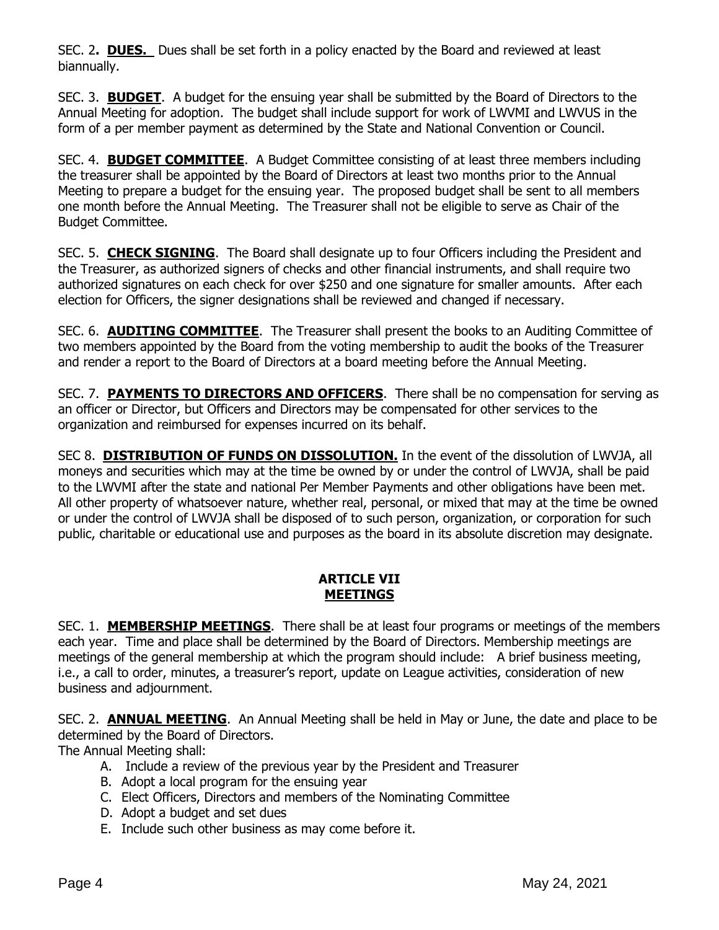SEC. 2**. DUES.** Dues shall be set forth in a policy enacted by the Board and reviewed at least biannually.

SEC. 3. **BUDGET**. A budget for the ensuing year shall be submitted by the Board of Directors to the Annual Meeting for adoption. The budget shall include support for work of LWVMI and LWVUS in the form of a per member payment as determined by the State and National Convention or Council.

SEC. 4. **BUDGET COMMITTEE**. A Budget Committee consisting of at least three members including the treasurer shall be appointed by the Board of Directors at least two months prior to the Annual Meeting to prepare a budget for the ensuing year. The proposed budget shall be sent to all members one month before the Annual Meeting. The Treasurer shall not be eligible to serve as Chair of the Budget Committee.

SEC. 5. **CHECK SIGNING**. The Board shall designate up to four Officers including the President and the Treasurer, as authorized signers of checks and other financial instruments, and shall require two authorized signatures on each check for over \$250 and one signature for smaller amounts. After each election for Officers, the signer designations shall be reviewed and changed if necessary.

SEC. 6. **AUDITING COMMITTEE**. The Treasurer shall present the books to an Auditing Committee of two members appointed by the Board from the voting membership to audit the books of the Treasurer and render a report to the Board of Directors at a board meeting before the Annual Meeting.

SEC. 7. **PAYMENTS TO DIRECTORS AND OFFICERS**. There shall be no compensation for serving as an officer or Director, but Officers and Directors may be compensated for other services to the organization and reimbursed for expenses incurred on its behalf.

SEC 8. **DISTRIBUTION OF FUNDS ON DISSOLUTION.** In the event of the dissolution of LWVJA, all moneys and securities which may at the time be owned by or under the control of LWVJA, shall be paid to the LWVMI after the state and national Per Member Payments and other obligations have been met. All other property of whatsoever nature, whether real, personal, or mixed that may at the time be owned or under the control of LWVJA shall be disposed of to such person, organization, or corporation for such public, charitable or educational use and purposes as the board in its absolute discretion may designate.

## **ARTICLE VII MEETINGS**

SEC. 1. **MEMBERSHIP MEETINGS**. There shall be at least four programs or meetings of the members each year. Time and place shall be determined by the Board of Directors. Membership meetings are meetings of the general membership at which the program should include: A brief business meeting, i.e., a call to order, minutes, a treasurer's report, update on League activities, consideration of new business and adjournment.

SEC. 2. **ANNUAL MEETING**. An Annual Meeting shall be held in May or June, the date and place to be determined by the Board of Directors.

The Annual Meeting shall:

- A. Include a review of the previous year by the President and Treasurer
- B. Adopt a local program for the ensuing year
- C. Elect Officers, Directors and members of the Nominating Committee
- D. Adopt a budget and set dues
- E. Include such other business as may come before it.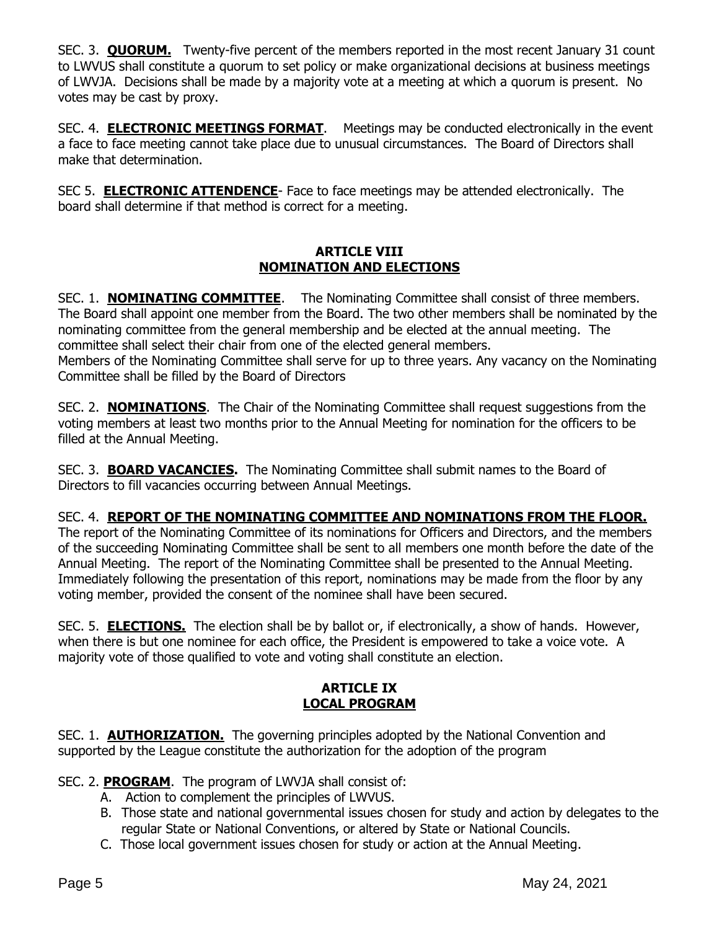SEC. 3. **QUORUM.** Twenty-five percent of the members reported in the most recent January 31 count to LWVUS shall constitute a quorum to set policy or make organizational decisions at business meetings of LWVJA. Decisions shall be made by a majority vote at a meeting at which a quorum is present. No votes may be cast by proxy.

SEC. 4. **ELECTRONIC MEETINGS FORMAT**. Meetings may be conducted electronically in the event a face to face meeting cannot take place due to unusual circumstances. The Board of Directors shall make that determination.

SEC 5. **ELECTRONIC ATTENDENCE**- Face to face meetings may be attended electronically. The board shall determine if that method is correct for a meeting.

## **ARTICLE VIII NOMINATION AND ELECTIONS**

SEC. 1. **NOMINATING COMMITTEE**. The Nominating Committee shall consist of three members. The Board shall appoint one member from the Board. The two other members shall be nominated by the nominating committee from the general membership and be elected at the annual meeting. The committee shall select their chair from one of the elected general members. Members of the Nominating Committee shall serve for up to three years. Any vacancy on the Nominating Committee shall be filled by the Board of Directors

SEC. 2. **NOMINATIONS**. The Chair of the Nominating Committee shall request suggestions from the voting members at least two months prior to the Annual Meeting for nomination for the officers to be filled at the Annual Meeting.

SEC. 3. **BOARD VACANCIES.** The Nominating Committee shall submit names to the Board of Directors to fill vacancies occurring between Annual Meetings.

# SEC. 4. **REPORT OF THE NOMINATING COMMITTEE AND NOMINATIONS FROM THE FLOOR.**

The report of the Nominating Committee of its nominations for Officers and Directors, and the members of the succeeding Nominating Committee shall be sent to all members one month before the date of the Annual Meeting. The report of the Nominating Committee shall be presented to the Annual Meeting. Immediately following the presentation of this report, nominations may be made from the floor by any voting member, provided the consent of the nominee shall have been secured.

SEC. 5. **ELECTIONS.** The election shall be by ballot or, if electronically, a show of hands. However, when there is but one nominee for each office, the President is empowered to take a voice vote. A majority vote of those qualified to vote and voting shall constitute an election.

## **ARTICLE IX LOCAL PROGRAM**

SEC. 1. **AUTHORIZATION.** The governing principles adopted by the National Convention and supported by the League constitute the authorization for the adoption of the program

SEC. 2. **PROGRAM**. The program of LWVJA shall consist of:

- A. Action to complement the principles of LWVUS.
- B. Those state and national governmental issues chosen for study and action by delegates to the regular State or National Conventions, or altered by State or National Councils.
- C. Those local government issues chosen for study or action at the Annual Meeting.